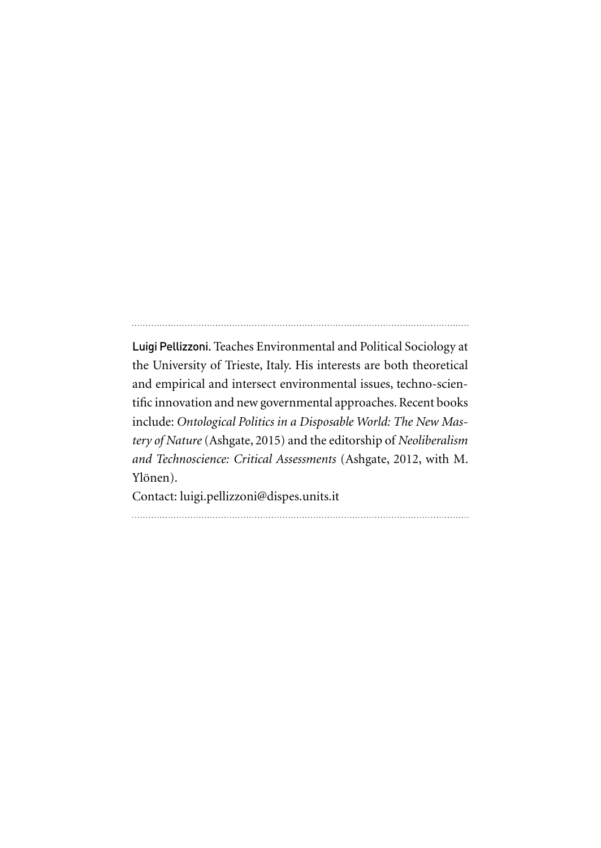Luigi Pellizzoni. Teaches Environmental and Political Sociology at the University of Trieste, Italy. His interests are both theoretical and empirical and intersect environmental issues, techno-scientific innovation and new governmental approaches. Recent books include: *Ontological Politics in a Disposable World: The New Mastery of Nature* (Ashgate, 2015) and the editorship of *Neoliberalism and Technoscience: Critical Assessments* (Ashgate, 2012, with M. Ylönen).

Contact: luigi.pellizzoni@dispes.units.it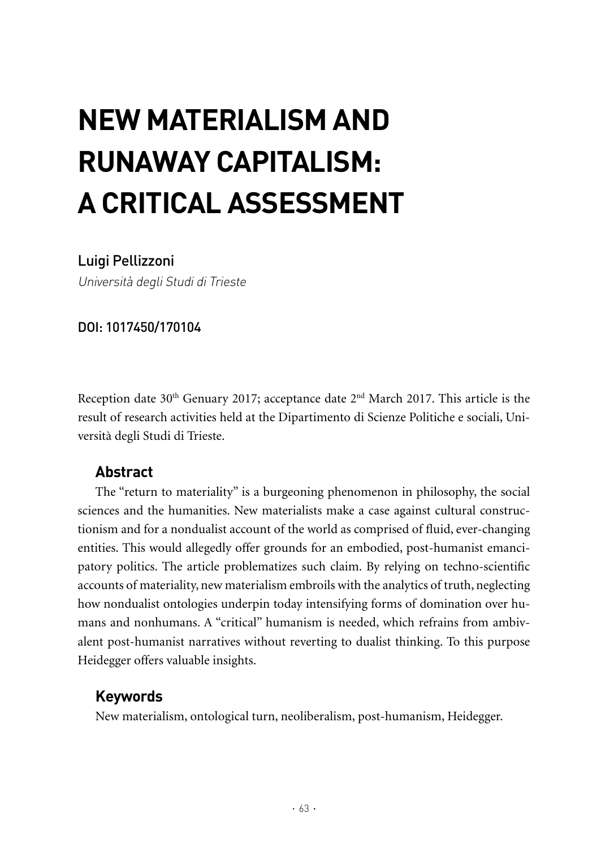# **NEW MATERIALISM AND RUNAWAY CAPITALISM: A CRITICAL ASSESSMENT**

## Luigi Pellizzoni

Università degli Studi di Trieste

DOI: 1017450/170104

Reception date 30<sup>th</sup> Genuary 2017; acceptance date 2<sup>nd</sup> March 2017. This article is the result of research activities held at the Dipartimento di Scienze Politiche e sociali, Università degli Studi di Trieste.

## **Abstract**

The "return to materiality" is a burgeoning phenomenon in philosophy, the social sciences and the humanities. New materialists make a case against cultural constructionism and for a nondualist account of the world as comprised of fluid, ever-changing entities. This would allegedly offer grounds for an embodied, post-humanist emancipatory politics. The article problematizes such claim. By relying on techno-scientific accounts of materiality, new materialism embroils with the analytics of truth, neglecting how nondualist ontologies underpin today intensifying forms of domination over humans and nonhumans. A "critical" humanism is needed, which refrains from ambivalent post-humanist narratives without reverting to dualist thinking. To this purpose Heidegger offers valuable insights.

# **Keywords**

New materialism, ontological turn, neoliberalism, post-humanism, Heidegger.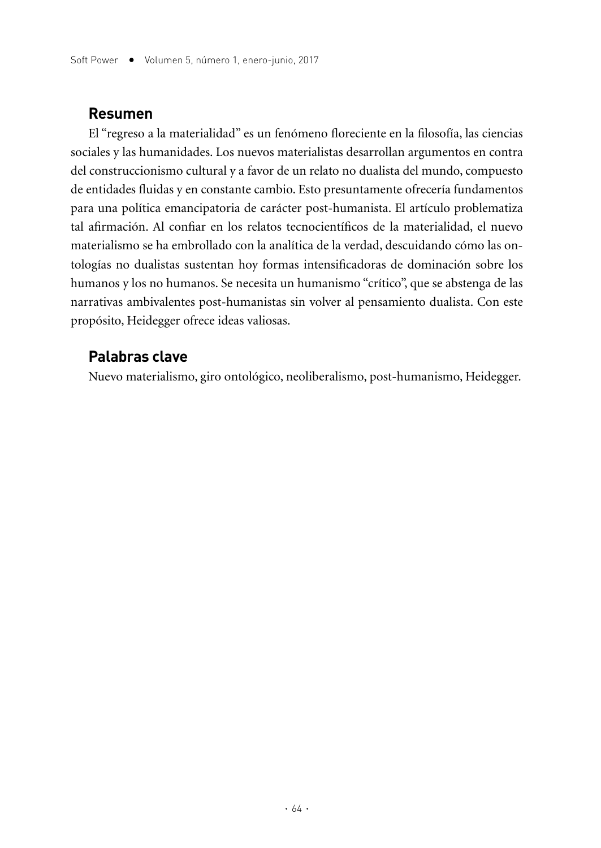#### **Resumen**

El "regreso a la materialidad" es un fenómeno floreciente en la filosofía, las ciencias sociales y las humanidades. Los nuevos materialistas desarrollan argumentos en contra del construccionismo cultural y a favor de un relato no dualista del mundo, compuesto de entidades fluidas y en constante cambio. Esto presuntamente ofrecería fundamentos para una política emancipatoria de carácter post-humanista. El artículo problematiza tal afirmación. Al confiar en los relatos tecnocientíficos de la materialidad, el nuevo materialismo se ha embrollado con la analítica de la verdad, descuidando cómo las ontologías no dualistas sustentan hoy formas intensificadoras de dominación sobre los humanos y los no humanos. Se necesita un humanismo "crítico", que se abstenga de las narrativas ambivalentes post-humanistas sin volver al pensamiento dualista. Con este propósito, Heidegger ofrece ideas valiosas.

### **Palabras clave**

Nuevo materialismo, giro ontológico, neoliberalismo, post-humanismo, Heidegger.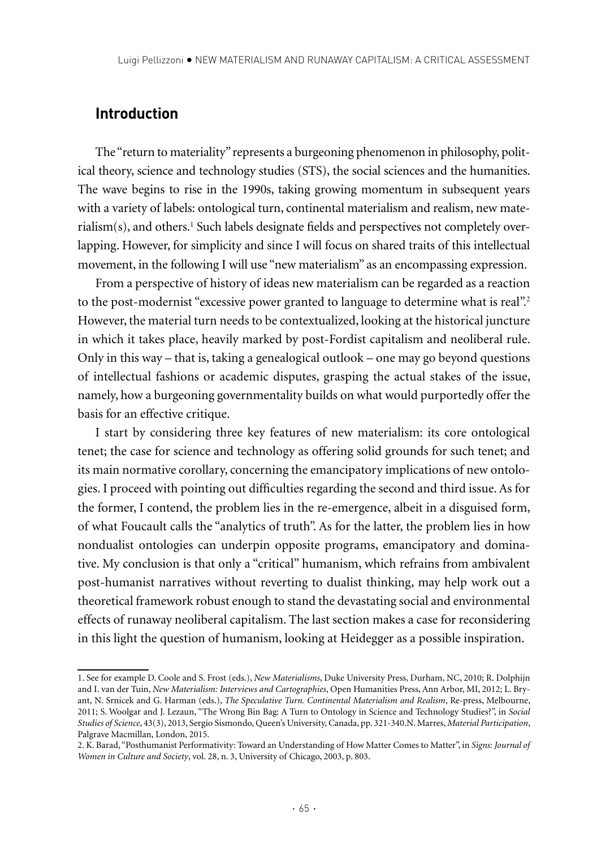#### **Introduction**

The "return to materiality" represents a burgeoning phenomenon in philosophy, political theory, science and technology studies (STS), the social sciences and the humanities. The wave begins to rise in the 1990s, taking growing momentum in subsequent years with a variety of labels: ontological turn, continental materialism and realism, new mate $r$ ialism(s), and others. $^1$  Such labels designate fields and perspectives not completely overlapping. However, for simplicity and since I will focus on shared traits of this intellectual movement, in the following I will use "new materialism" as an encompassing expression.

From a perspective of history of ideas new materialism can be regarded as a reaction to the post-modernist "excessive power granted to language to determine what is real".<sup>2</sup> However, the material turn needs to be contextualized, looking at the historical juncture in which it takes place, heavily marked by post-Fordist capitalism and neoliberal rule. Only in this way – that is, taking a genealogical outlook – one may go beyond questions of intellectual fashions or academic disputes, grasping the actual stakes of the issue, namely, how a burgeoning governmentality builds on what would purportedly offer the basis for an effective critique.

I start by considering three key features of new materialism: its core ontological tenet; the case for science and technology as offering solid grounds for such tenet; and its main normative corollary, concerning the emancipatory implications of new ontologies. I proceed with pointing out difficulties regarding the second and third issue. As for the former, I contend, the problem lies in the re-emergence, albeit in a disguised form, of what Foucault calls the "analytics of truth". As for the latter, the problem lies in how nondualist ontologies can underpin opposite programs, emancipatory and dominative. My conclusion is that only a "critical" humanism, which refrains from ambivalent post-humanist narratives without reverting to dualist thinking, may help work out a theoretical framework robust enough to stand the devastating social and environmental effects of runaway neoliberal capitalism. The last section makes a case for reconsidering in this light the question of humanism, looking at Heidegger as a possible inspiration.

<sup>1.</sup> See for example D. Coole and S. Frost (eds.), *New Materialisms*, Duke University Press, Durham, NC, 2010; R. Dolphijn and I. van der Tuin, *New Materialism: Interviews and Cartographies*, Open Humanities Press, Ann Arbor, MI, 2012; L. Bryant, N. Srnicek and G. Harman (eds.), *The Speculative Turn. Continental Materialism and Realism*, Re-press, Melbourne, 2011; S. Woolgar and J. Lezaun, "The Wrong Bin Bag: A Turn to Ontology in Science and Technology Studies?", in *Social Studies of Science*, 43(3), 2013, Sergio Sismondo, Queen's University, Canada, pp. 321-340.N. Marres, *Material Participation*, Palgrave Macmillan, London, 2015.

<sup>2.</sup> K. Barad, "Posthumanist Performativity: Toward an Understanding of How Matter Comes to Matter", in *Signs: Journal of Women in Culture and Society*, vol. 28, n. 3, University of Chicago, 2003, p. 803.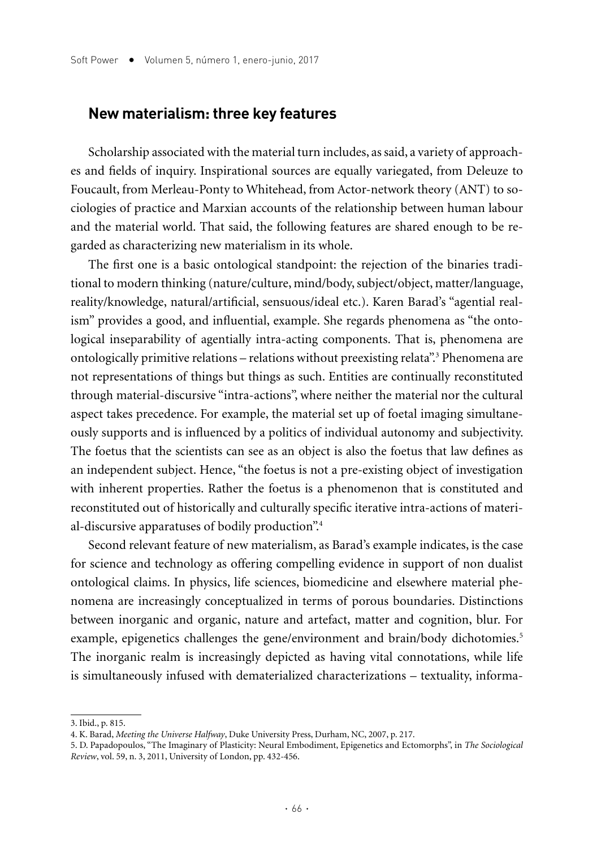#### **New materialism: three key features**

Scholarship associated with the material turn includes, as said, a variety of approaches and fields of inquiry. Inspirational sources are equally variegated, from Deleuze to Foucault, from Merleau-Ponty to Whitehead, from Actor-network theory (ANT) to sociologies of practice and Marxian accounts of the relationship between human labour and the material world. That said, the following features are shared enough to be regarded as characterizing new materialism in its whole.

The first one is a basic ontological standpoint: the rejection of the binaries traditional to modern thinking (nature/culture, mind/body, subject/object, matter/language, reality/knowledge, natural/artificial, sensuous/ideal etc.). Karen Barad's "agential realism" provides a good, and influential, example. She regards phenomena as "the ontological inseparability of agentially intra-acting components. That is, phenomena are ontologically primitive relations – relations without preexisting relata".<sup>3</sup> Phenomena are not representations of things but things as such. Entities are continually reconstituted through material-discursive "intra-actions", where neither the material nor the cultural aspect takes precedence. For example, the material set up of foetal imaging simultaneously supports and is influenced by a politics of individual autonomy and subjectivity. The foetus that the scientists can see as an object is also the foetus that law defines as an independent subject. Hence, "the foetus is not a pre-existing object of investigation with inherent properties. Rather the foetus is a phenomenon that is constituted and reconstituted out of historically and culturally specific iterative intra-actions of material-discursive apparatuses of bodily production".<sup>4</sup>

Second relevant feature of new materialism, as Barad's example indicates, is the case for science and technology as offering compelling evidence in support of non dualist ontological claims. In physics, life sciences, biomedicine and elsewhere material phenomena are increasingly conceptualized in terms of porous boundaries. Distinctions between inorganic and organic, nature and artefact, matter and cognition, blur. For example, epigenetics challenges the gene/environment and brain/body dichotomies.<sup>5</sup> The inorganic realm is increasingly depicted as having vital connotations, while life is simultaneously infused with dematerialized characterizations – textuality, informa-

<sup>3.</sup> Ibid., p. 815.

<sup>4.</sup> K. Barad, *Meeting the Universe Halfway*, Duke University Press, Durham, NC, 2007, p. 217.

<sup>5.</sup> D. Papadopoulos, "The Imaginary of Plasticity: Neural Embodiment, Epigenetics and Ectomorphs", in *The Sociological Review*, vol. 59, n. 3, 2011, University of London, pp. 432-456.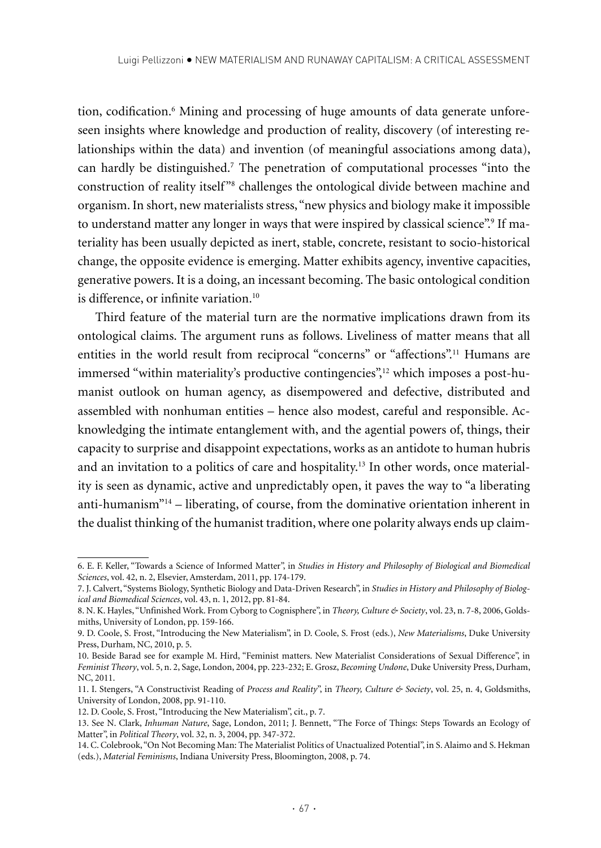tion, codification.6 Mining and processing of huge amounts of data generate unforeseen insights where knowledge and production of reality, discovery (of interesting relationships within the data) and invention (of meaningful associations among data), can hardly be distinguished.7 The penetration of computational processes "into the construction of reality itself<sup>28</sup> challenges the ontological divide between machine and organism. In short, new materialists stress, "new physics and biology make it impossible to understand matter any longer in ways that were inspired by classical science".<sup>9</sup> If materiality has been usually depicted as inert, stable, concrete, resistant to socio-historical change, the opposite evidence is emerging. Matter exhibits agency, inventive capacities, generative powers. It is a doing, an incessant becoming. The basic ontological condition is difference, or infinite variation.<sup>10</sup>

Third feature of the material turn are the normative implications drawn from its ontological claims. The argument runs as follows. Liveliness of matter means that all entities in the world result from reciprocal "concerns" or "affections".11 Humans are immersed "within materiality's productive contingencies",12 which imposes a post-humanist outlook on human agency, as disempowered and defective, distributed and assembled with nonhuman entities – hence also modest, careful and responsible. Acknowledging the intimate entanglement with, and the agential powers of, things, their capacity to surprise and disappoint expectations, works as an antidote to human hubris and an invitation to a politics of care and hospitality.13 In other words, once materiality is seen as dynamic, active and unpredictably open, it paves the way to "a liberating anti-humanism"14 – liberating, of course, from the dominative orientation inherent in the dualist thinking of the humanist tradition, where one polarity always ends up claim-

<sup>6.</sup> E. F. Keller, "Towards a Science of Informed Matter", in *Studies in History and Philosophy of Biological and Biomedical Sciences*, vol. 42, n. 2, Elsevier, Amsterdam, 2011, pp. 174-179.

<sup>7.</sup> J. Calvert, "Systems Biology, Synthetic Biology and Data-Driven Research", in *Studies in History and Philosophy of Biological and Biomedical Sciences*, vol. 43, n. 1, 2012, pp. 81-84.

<sup>8.</sup> N. K. Hayles, "Unfinished Work. From Cyborg to Cognisphere", in *Theory, Culture & Society*, vol. 23, n. 7-8, 2006, Goldsmiths, University of London, pp. 159-166.

<sup>9.</sup> D. Coole, S. Frost, "Introducing the New Materialism", in D. Coole, S. Frost (eds.), *New Materialisms*, Duke University Press, Durham, NC, 2010, p. 5.

<sup>10.</sup> Beside Barad see for example M. Hird, "Feminist matters. New Materialist Considerations of Sexual Difference", in *Feminist Theory*, vol. 5, n. 2, Sage, London, 2004, pp. 223-232; E. Grosz, *Becoming Undone*, Duke University Press, Durham, NC, 2011.

<sup>11.</sup> I. Stengers, "A Constructivist Reading of *Process and Reality*", in *Theory, Culture & Society*, vol. 25, n. 4, Goldsmiths, University of London, 2008, pp. 91-110.

<sup>12.</sup> D. Coole, S. Frost, "Introducing the New Materialism", cit., p. 7.

<sup>13.</sup> See N. Clark, *Inhuman Nature*, Sage, London, 2011; J. Bennett, "The Force of Things: Steps Towards an Ecology of Matter", in *Political Theory*, vol. 32, n. 3, 2004, pp. 347-372.

<sup>14.</sup> C. Colebrook, "On Not Becoming Man: The Materialist Politics of Unactualized Potential", in S. Alaimo and S. Hekman (eds.), *Material Feminisms*, Indiana University Press, Bloomington, 2008, p. 74.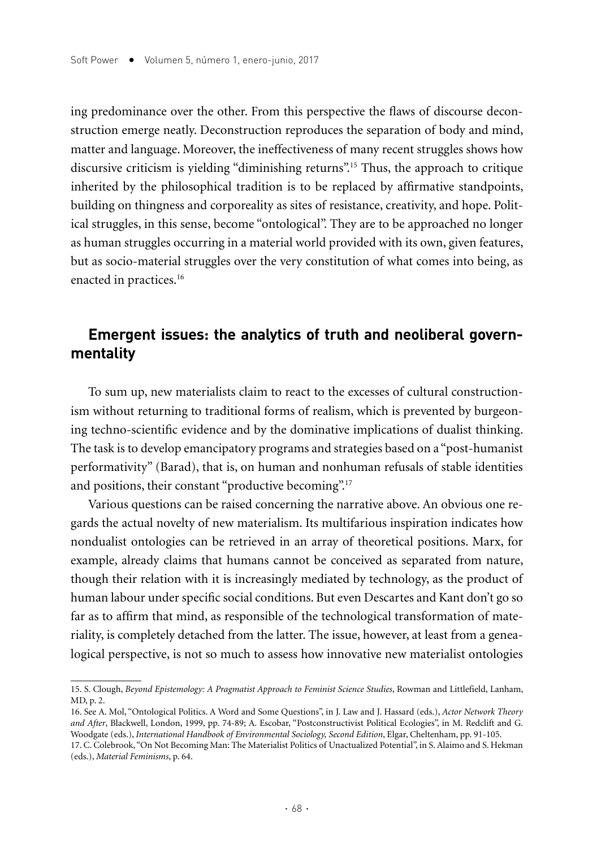ing predominance over the other. From this perspective the flaws of discourse deconstruction emerge neatly. Deconstruction reproduces the separation of body and mind, matter and language. Moreover, the ineffectiveness of many recent struggles shows how discursive criticism is yielding "diminishing returns".<sup>15</sup> Thus, the approach to critique inherited by the philosophical tradition is to be replaced by affirmative standpoints, building on thingness and corporeality as sites of resistance, creativity, and hope. Political struggles, in this sense, become "ontological". They are to be approached no longer as human struggles occurring in a material world provided with its own, given features, but as socio-material struggles over the very constitution of what comes into being, as enacted in practices.<sup>16</sup>

# **Emergent issues: the analytics of truth and neoliberal governmentality**

To sum up, new materialists claim to react to the excesses of cultural constructionism without returning to traditional forms of realism, which is prevented by burgeoning techno-scientific evidence and by the dominative implications of dualist thinking. The task is to develop emancipatory programs and strategies based on a "post-humanist performativity" (Barad), that is, on human and nonhuman refusals of stable identities and positions, their constant "productive becoming".<sup>17</sup>

Various questions can be raised concerning the narrative above. An obvious one regards the actual novelty of new materialism. Its multifarious inspiration indicates how nondualist ontologies can be retrieved in an array of theoretical positions. Marx, for example, already claims that humans cannot be conceived as separated from nature, though their relation with it is increasingly mediated by technology, as the product of human labour under specific social conditions. But even Descartes and Kant don't go so far as to affirm that mind, as responsible of the technological transformation of materiality, is completely detached from the latter. The issue, however, at least from a genealogical perspective, is not so much to assess how innovative new materialist ontologies

<sup>15.</sup> S. Clough, *Beyond Epistemology: A Pragmatist Approach to Feminist Science Studies*, Rowman and Littlefield, Lanham, MD, p. 2.

<sup>16.</sup> See A. Mol, "Ontological Politics. A Word and Some Questions", in J. Law and J. Hassard (eds.), *Actor Network Theory and After*, Blackwell, London, 1999, pp. 74-89; A. Escobar, "Postconstructivist Political Ecologies", in M. Redclift and G. Woodgate (eds.), *International Handbook of Environmental Sociology, Second Edition*, Elgar, Cheltenham, pp. 91-105.

<sup>17.</sup> C. Colebrook, "On Not Becoming Man: The Materialist Politics of Unactualized Potential", in S. Alaimo and S. Hekman (eds.), *Material Feminisms*, p. 64.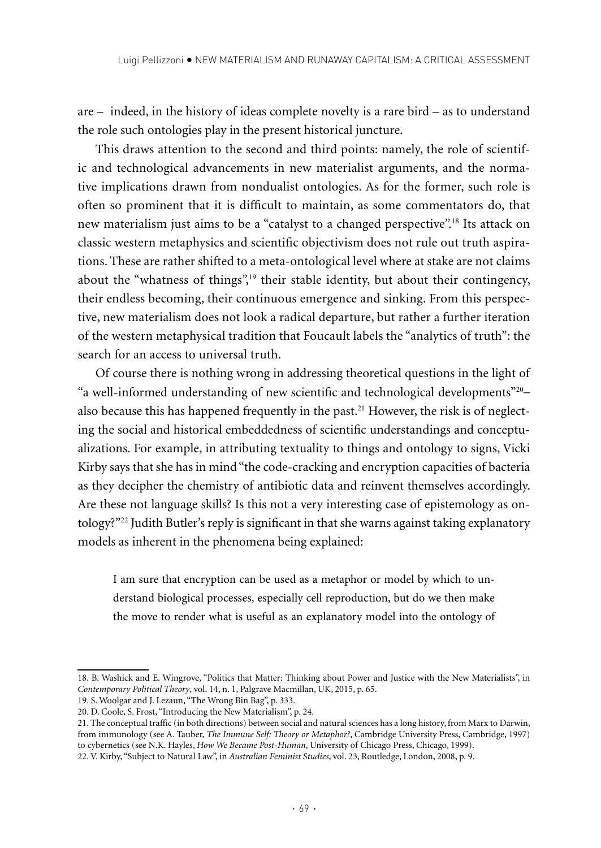are – indeed, in the history of ideas complete novelty is a rare bird – as to understand the role such ontologies play in the present historical juncture.

This draws attention to the second and third points: namely, the role of scientific and technological advancements in new materialist arguments, and the normative implications drawn from nondualist ontologies. As for the former, such role is often so prominent that it is difficult to maintain, as some commentators do, that new materialism just aims to be a "catalyst to a changed perspective".18 Its attack on classic western metaphysics and scientific objectivism does not rule out truth aspirations. These are rather shifted to a meta-ontological level where at stake are not claims about the "whatness of things",<sup>19</sup> their stable identity, but about their contingency, their endless becoming, their continuous emergence and sinking. From this perspective, new materialism does not look a radical departure, but rather a further iteration of the western metaphysical tradition that Foucault labels the "analytics of truth": the search for an access to universal truth.

Of course there is nothing wrong in addressing theoretical questions in the light of "a well-informed understanding of new scientific and technological developments"20– also because this has happened frequently in the past.<sup>21</sup> However, the risk is of neglecting the social and historical embeddedness of scientific understandings and conceptualizations. For example, in attributing textuality to things and ontology to signs, Vicki Kirby says that she has in mind "the code-cracking and encryption capacities of bacteria as they decipher the chemistry of antibiotic data and reinvent themselves accordingly. Are these not language skills? Is this not a very interesting case of epistemology as ontology?"22 Judith Butler's reply is significant in that she warns against taking explanatory models as inherent in the phenomena being explained:

I am sure that encryption can be used as a metaphor or model by which to understand biological processes, especially cell reproduction, but do we then make the move to render what is useful as an explanatory model into the ontology of

<sup>18.</sup> B. Washick and E. Wingrove, "Politics that Matter: Thinking about Power and Justice with the New Materialists", in *Contemporary Political Theory*, vol. 14, n. 1, Palgrave Macmillan, UK, 2015, p. 65.

<sup>19.</sup> S. Woolgar and J. Lezaun, "The Wrong Bin Bag", p. 333.

<sup>20.</sup> D. Coole, S. Frost, "Introducing the New Materialism", p. 24.

<sup>21.</sup> The conceptual traffic (in both directions) between social and natural sciences has a long history, from Marx to Darwin, from immunology (see A. Tauber, *The Immune Self: Theory or Metaphor?*, Cambridge University Press, Cambridge, 1997) to cybernetics (see N.K. Hayles, *How We Became Post-Human*, University of Chicago Press, Chicago, 1999).

<sup>22.</sup> V. Kirby, "Subject to Natural Law", in *Australian Feminist Studies*, vol. 23, Routledge, London, 2008, p. 9.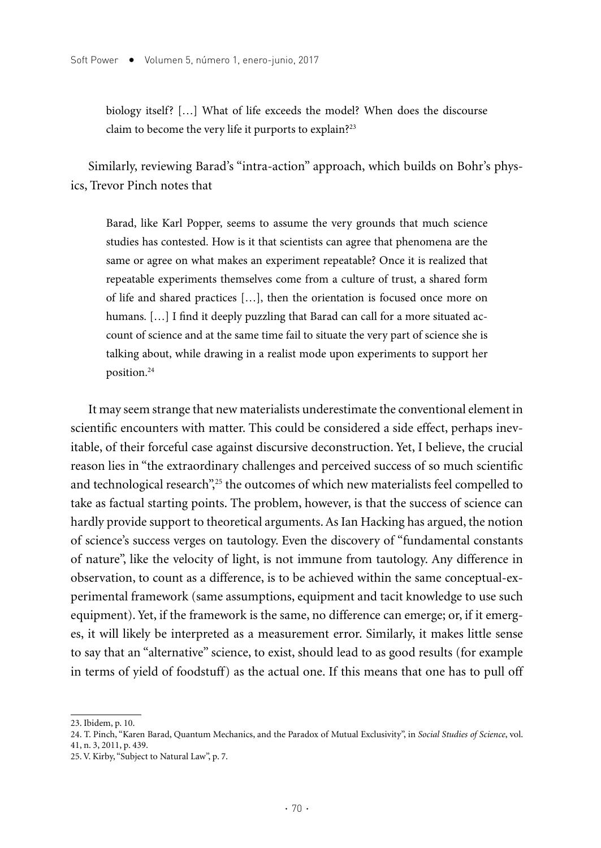biology itself? […] What of life exceeds the model? When does the discourse claim to become the very life it purports to explain?23

Similarly, reviewing Barad's "intra-action" approach, which builds on Bohr's physics, Trevor Pinch notes that

Barad, like Karl Popper, seems to assume the very grounds that much science studies has contested. How is it that scientists can agree that phenomena are the same or agree on what makes an experiment repeatable? Once it is realized that repeatable experiments themselves come from a culture of trust, a shared form of life and shared practices […], then the orientation is focused once more on humans. [...] I find it deeply puzzling that Barad can call for a more situated account of science and at the same time fail to situate the very part of science she is talking about, while drawing in a realist mode upon experiments to support her position.24

It may seem strange that new materialists underestimate the conventional element in scientific encounters with matter. This could be considered a side effect, perhaps inevitable, of their forceful case against discursive deconstruction. Yet, I believe, the crucial reason lies in "the extraordinary challenges and perceived success of so much scientific and technological research",<sup>25</sup> the outcomes of which new materialists feel compelled to take as factual starting points. The problem, however, is that the success of science can hardly provide support to theoretical arguments. As Ian Hacking has argued, the notion of science's success verges on tautology. Even the discovery of "fundamental constants of nature", like the velocity of light, is not immune from tautology. Any difference in observation, to count as a difference, is to be achieved within the same conceptual-experimental framework (same assumptions, equipment and tacit knowledge to use such equipment). Yet, if the framework is the same, no difference can emerge; or, if it emerges, it will likely be interpreted as a measurement error. Similarly, it makes little sense to say that an "alternative" science, to exist, should lead to as good results (for example in terms of yield of foodstuff) as the actual one. If this means that one has to pull off

<sup>23.</sup> Ibidem, p. 10.

<sup>24.</sup> T. Pinch, "Karen Barad, Quantum Mechanics, and the Paradox of Mutual Exclusivity", in *Social Studies of Science*, vol. 41, n. 3, 2011, p. 439.

<sup>25.</sup> V. Kirby, "Subject to Natural Law", p. 7.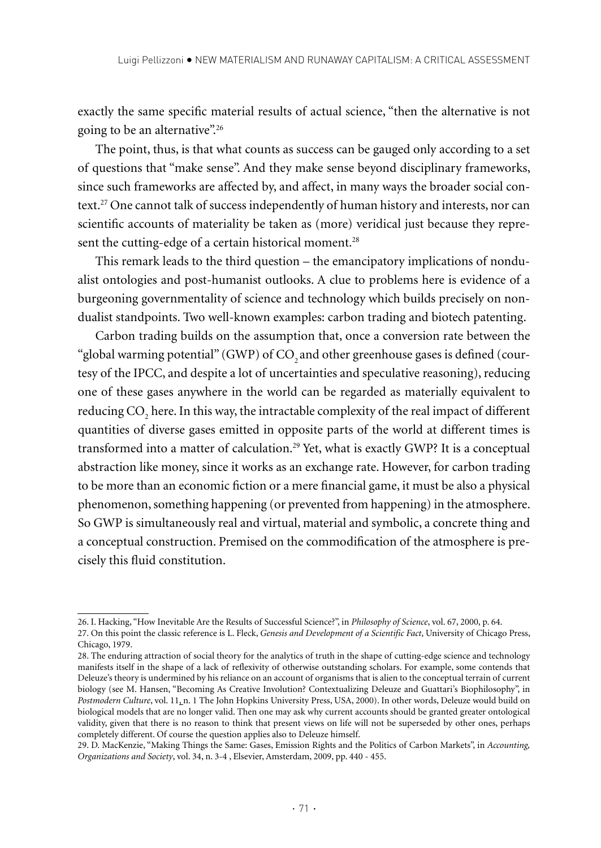exactly the same specific material results of actual science, "then the alternative is not going to be an alternative".<sup>26</sup>

The point, thus, is that what counts as success can be gauged only according to a set of questions that "make sense". And they make sense beyond disciplinary frameworks, since such frameworks are affected by, and affect, in many ways the broader social context.27 One cannot talk of success independently of human history and interests, nor can scientific accounts of materiality be taken as (more) veridical just because they represent the cutting-edge of a certain historical moment.<sup>28</sup>

This remark leads to the third question – the emancipatory implications of nondualist ontologies and post-humanist outlooks. A clue to problems here is evidence of a burgeoning governmentality of science and technology which builds precisely on nondualist standpoints. Two well-known examples: carbon trading and biotech patenting.

Carbon trading builds on the assumption that, once a conversion rate between the "global warming potential" (GWP) of CO<sub>2</sub> and other greenhouse gases is defined (courtesy of the IPCC, and despite a lot of uncertainties and speculative reasoning), reducing one of these gases anywhere in the world can be regarded as materially equivalent to reducing CO<sub>2</sub> here. In this way, the intractable complexity of the real impact of different quantities of diverse gases emitted in opposite parts of the world at different times is transformed into a matter of calculation.<sup>29</sup> Yet, what is exactly GWP? It is a conceptual abstraction like money, since it works as an exchange rate. However, for carbon trading to be more than an economic fiction or a mere financial game, it must be also a physical phenomenon, something happening (or prevented from happening) in the atmosphere. So GWP is simultaneously real and virtual, material and symbolic, a concrete thing and a conceptual construction. Premised on the commodification of the atmosphere is precisely this fluid constitution.

<sup>26.</sup> I. Hacking, "How Inevitable Are the Results of Successful Science?", in *Philosophy of Science*, vol. 67, 2000, p. 64.

<sup>27.</sup> On this point the classic reference is L. Fleck, *Genesis and Development of a Scientific Fact*, University of Chicago Press, Chicago, 1979.

<sup>28.</sup> The enduring attraction of social theory for the analytics of truth in the shape of cutting-edge science and technology manifests itself in the shape of a lack of reflexivity of otherwise outstanding scholars. For example, some contends that Deleuze's theory is undermined by his reliance on an account of organisms that is alien to the conceptual terrain of current biology (see M. Hansen, "Becoming As Creative Involution? Contextualizing Deleuze and Guattari's Biophilosophy", in *Postmodern Culture*, vol. 11, n. 1 The John Hopkins University Press, USA, 2000). In other words, Deleuze would build on biological models that are no longer valid. Then one may ask why current accounts should be granted greater ontological validity, given that there is no reason to think that present views on life will not be superseded by other ones, perhaps completely different. Of course the question applies also to Deleuze himself.

<sup>29.</sup> D. MacKenzie, "Making Things the Same: Gases, Emission Rights and the Politics of Carbon Markets", in *Accounting, Organizations and Society*, vol. 34, n. 3-4 , Elsevier, Amsterdam, 2009, pp. 440 - 455.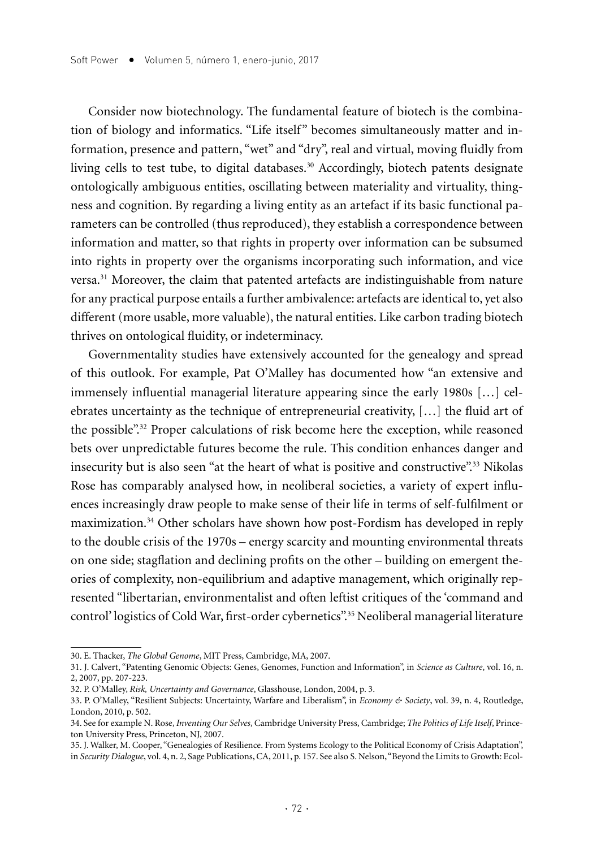Consider now biotechnology. The fundamental feature of biotech is the combination of biology and informatics. "Life itself" becomes simultaneously matter and information, presence and pattern, "wet" and "dry", real and virtual, moving fluidly from living cells to test tube, to digital databases.<sup>30</sup> Accordingly, biotech patents designate ontologically ambiguous entities, oscillating between materiality and virtuality, thingness and cognition. By regarding a living entity as an artefact if its basic functional parameters can be controlled (thus reproduced), they establish a correspondence between information and matter, so that rights in property over information can be subsumed into rights in property over the organisms incorporating such information, and vice versa.31 Moreover, the claim that patented artefacts are indistinguishable from nature for any practical purpose entails a further ambivalence: artefacts are identical to, yet also different (more usable, more valuable), the natural entities. Like carbon trading biotech thrives on ontological fluidity, or indeterminacy.

Governmentality studies have extensively accounted for the genealogy and spread of this outlook. For example, Pat O'Malley has documented how "an extensive and immensely influential managerial literature appearing since the early 1980s […] celebrates uncertainty as the technique of entrepreneurial creativity, […] the fluid art of the possible".32 Proper calculations of risk become here the exception, while reasoned bets over unpredictable futures become the rule. This condition enhances danger and insecurity but is also seen "at the heart of what is positive and constructive".33 Nikolas Rose has comparably analysed how, in neoliberal societies, a variety of expert influences increasingly draw people to make sense of their life in terms of self-fulfilment or maximization.34 Other scholars have shown how post-Fordism has developed in reply to the double crisis of the 1970s – energy scarcity and mounting environmental threats on one side; stagflation and declining profits on the other – building on emergent theories of complexity, non-equilibrium and adaptive management, which originally represented "libertarian, environmentalist and often leftist critiques of the 'command and control' logistics of Cold War, first-order cybernetics".35 Neoliberal managerial literature

<sup>30.</sup> E. Thacker, *The Global Genome*, MIT Press, Cambridge, MA, 2007.

<sup>31.</sup> J. Calvert, "Patenting Genomic Objects: Genes, Genomes, Function and Information", in *Science as Culture*, vol. 16, n. 2, 2007, pp. 207-223.

<sup>32.</sup> P. O'Malley, *Risk, Uncertainty and Governance*, Glasshouse, London, 2004, p. 3.

<sup>33.</sup> P. O'Malley, "Resilient Subjects: Uncertainty, Warfare and Liberalism", in *Economy & Society*, vol. 39, n. 4, Routledge, London, 2010, p. 502.

<sup>34.</sup> See for example N. Rose, *Inventing Our Selves*, Cambridge University Press, Cambridge; *The Politics of Life Itself*, Princeton University Press, Princeton, NJ, 2007.

<sup>35.</sup> J. Walker, M. Cooper, "Genealogies of Resilience. From Systems Ecology to the Political Economy of Crisis Adaptation", in *Security Dialogue*, vol. 4, n. 2, Sage Publications, CA, 2011, p. 157. See also S. Nelson, "Beyond the Limits to Growth: Ecol-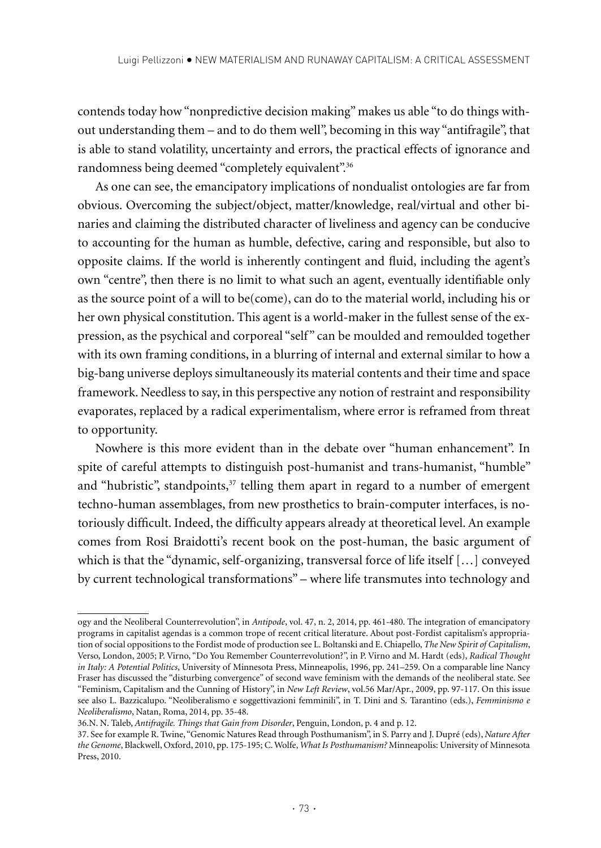contends today how "nonpredictive decision making" makes us able "to do things without understanding them – and to do them well", becoming in this way "antifragile", that is able to stand volatility, uncertainty and errors, the practical effects of ignorance and randomness being deemed "completely equivalent".36

As one can see, the emancipatory implications of nondualist ontologies are far from obvious. Overcoming the subject/object, matter/knowledge, real/virtual and other binaries and claiming the distributed character of liveliness and agency can be conducive to accounting for the human as humble, defective, caring and responsible, but also to opposite claims. If the world is inherently contingent and fluid, including the agent's own "centre", then there is no limit to what such an agent, eventually identifiable only as the source point of a will to be(come), can do to the material world, including his or her own physical constitution. This agent is a world-maker in the fullest sense of the expression, as the psychical and corporeal "self" can be moulded and remoulded together with its own framing conditions, in a blurring of internal and external similar to how a big-bang universe deploys simultaneously its material contents and their time and space framework. Needless to say, in this perspective any notion of restraint and responsibility evaporates, replaced by a radical experimentalism, where error is reframed from threat to opportunity.

Nowhere is this more evident than in the debate over "human enhancement". In spite of careful attempts to distinguish post-humanist and trans-humanist, "humble" and "hubristic", standpoints, $37$  telling them apart in regard to a number of emergent techno-human assemblages, from new prosthetics to brain-computer interfaces, is notoriously difficult. Indeed, the difficulty appears already at theoretical level. An example comes from Rosi Braidotti's recent book on the post-human, the basic argument of which is that the "dynamic, self-organizing, transversal force of life itself […] conveyed by current technological transformations" – where life transmutes into technology and

ogy and the Neoliberal Counterrevolution", in *Antipode*, vol. 47, n. 2, 2014, pp. 461-480. The integration of emancipatory programs in capitalist agendas is a common trope of recent critical literature. About post-Fordist capitalism's appropriation of social oppositions to the Fordist mode of production see L. Boltanski and E. Chiapello, *The New Spirit of Capitalism*, Verso, London, 2005; P. Virno, "Do You Remember Counterrevolution?", in P. Virno and M. Hardt (eds), *Radical Thought in Italy: A Potential Politics*, University of Minnesota Press, Minneapolis, 1996, pp. 241–259. On a comparable line Nancy Fraser has discussed the "disturbing convergence" of second wave feminism with the demands of the neoliberal state. See "Feminism, Capitalism and the Cunning of History", in *New Left Review*, vol.56 Mar/Apr., 2009, pp. 97-117. On this issue see also L. Bazzicalupo. "Neoliberalismo e soggettivazioni femminili", in T. Dini and S. Tarantino (eds.), *Femminismo e Neoliberalismo*, Natan, Roma, 2014, pp. 35-48.

<sup>36.</sup>N. N. Taleb, *Antifragile. Things that Gain from Disorder*, Penguin, London, p. 4 and p. 12.

<sup>37.</sup> See for example R. Twine, "Genomic Natures Read through Posthumanism", in S. Parry and J. Dupré (eds), *Nature After the Genome*, Blackwell, Oxford, 2010, pp. 175-195; C. Wolfe, *What Is Posthumanism?* Minneapolis: University of Minnesota Press, 2010.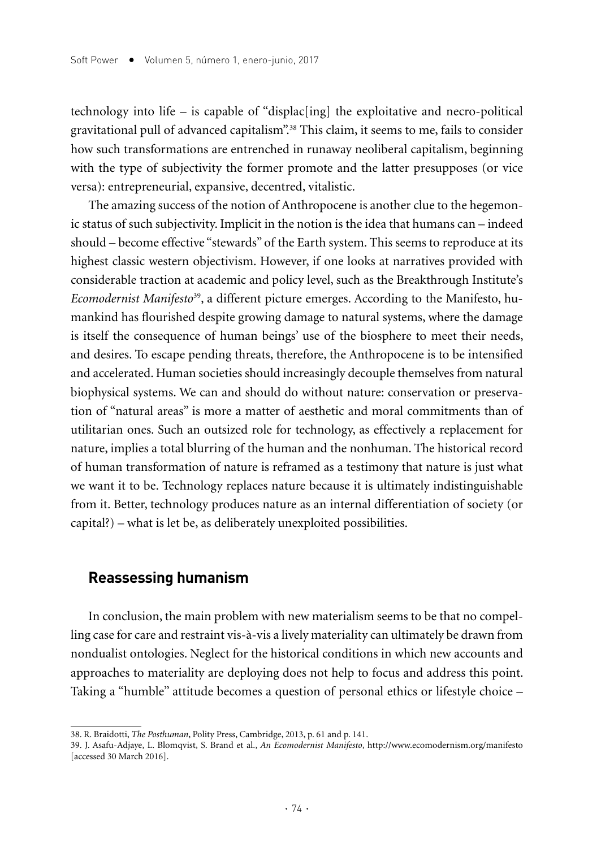technology into life – is capable of "displac[ing] the exploitative and necro-political gravitational pull of advanced capitalism".38 This claim, it seems to me, fails to consider how such transformations are entrenched in runaway neoliberal capitalism, beginning with the type of subjectivity the former promote and the latter presupposes (or vice versa): entrepreneurial, expansive, decentred, vitalistic.

The amazing success of the notion of Anthropocene is another clue to the hegemonic status of such subjectivity. Implicit in the notion is the idea that humans can – indeed should – become effective "stewards" of the Earth system. This seems to reproduce at its highest classic western objectivism. However, if one looks at narratives provided with considerable traction at academic and policy level, such as the Breakthrough Institute's *Ecomodernist Manifesto*39, a different picture emerges. According to the Manifesto, humankind has flourished despite growing damage to natural systems, where the damage is itself the consequence of human beings' use of the biosphere to meet their needs, and desires. To escape pending threats, therefore, the Anthropocene is to be intensified and accelerated. Human societies should increasingly decouple themselves from natural biophysical systems. We can and should do without nature: conservation or preservation of "natural areas" is more a matter of aesthetic and moral commitments than of utilitarian ones. Such an outsized role for technology, as effectively a replacement for nature, implies a total blurring of the human and the nonhuman. The historical record of human transformation of nature is reframed as a testimony that nature is just what we want it to be. Technology replaces nature because it is ultimately indistinguishable from it. Better, technology produces nature as an internal differentiation of society (or capital?) – what is let be, as deliberately unexploited possibilities.

## **Reassessing humanism**

In conclusion, the main problem with new materialism seems to be that no compelling case for care and restraint vis-à-vis a lively materiality can ultimately be drawn from nondualist ontologies. Neglect for the historical conditions in which new accounts and approaches to materiality are deploying does not help to focus and address this point. Taking a "humble" attitude becomes a question of personal ethics or lifestyle choice –

<sup>38.</sup> R. Braidotti, *The Posthuman*, Polity Press, Cambridge, 2013, p. 61 and p. 141.

<sup>39.</sup> J. Asafu-Adjaye, L. Blomqvist, S. Brand et al., *An Ecomodernist Manifesto*, http://www.ecomodernism.org/manifesto [accessed 30 March 2016].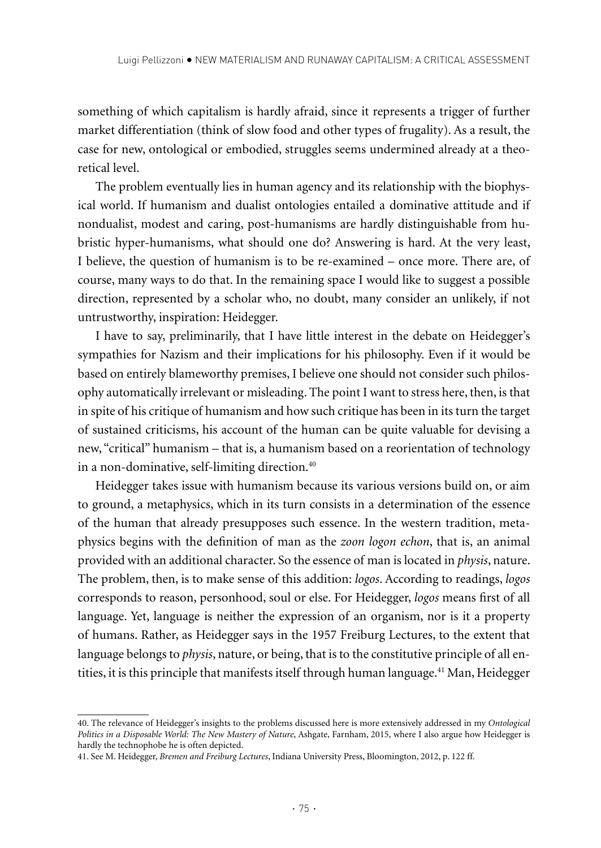something of which capitalism is hardly afraid, since it represents a trigger of further market differentiation (think of slow food and other types of frugality). As a result, the case for new, ontological or embodied, struggles seems undermined already at a theoretical level.

The problem eventually lies in human agency and its relationship with the biophysical world. If humanism and dualist ontologies entailed a dominative attitude and if nondualist, modest and caring, post-humanisms are hardly distinguishable from hubristic hyper-humanisms, what should one do? Answering is hard. At the very least, I believe, the question of humanism is to be re-examined – once more. There are, of course, many ways to do that. In the remaining space I would like to suggest a possible direction, represented by a scholar who, no doubt, many consider an unlikely, if not untrustworthy, inspiration: Heidegger.

I have to say, preliminarily, that I have little interest in the debate on Heidegger's sympathies for Nazism and their implications for his philosophy. Even if it would be based on entirely blameworthy premises, I believe one should not consider such philosophy automatically irrelevant or misleading. The point I want to stress here, then, is that in spite of his critique of humanism and how such critique has been in its turn the target of sustained criticisms, his account of the human can be quite valuable for devising a new, "critical" humanism – that is, a humanism based on a reorientation of technology in a non-dominative, self-limiting direction.<sup>40</sup>

Heidegger takes issue with humanism because its various versions build on, or aim to ground, a metaphysics, which in its turn consists in a determination of the essence of the human that already presupposes such essence. In the western tradition, metaphysics begins with the definition of man as the *zoon logon echon*, that is, an animal provided with an additional character. So the essence of man is located in *physis*, nature. The problem, then, is to make sense of this addition: *logos*. According to readings, *logos* corresponds to reason, personhood, soul or else. For Heidegger, *logos* means first of all language. Yet, language is neither the expression of an organism, nor is it a property of humans. Rather, as Heidegger says in the 1957 Freiburg Lectures, to the extent that language belongs to *physis*, nature, or being, that is to the constitutive principle of all entities, it is this principle that manifests itself through human language.<sup>41</sup> Man, Heidegger

<sup>40.</sup> The relevance of Heidegger's insights to the problems discussed here is more extensively addressed in my *Ontological Politics in a Disposable World: The New Mastery of Nature*, Ashgate, Farnham, 2015, where I also argue how Heidegger is hardly the technophobe he is often depicted.

<sup>41.</sup> See M. Heidegger, *Bremen and Freiburg Lectures*, Indiana University Press, Bloomington, 2012, p. 122 ff.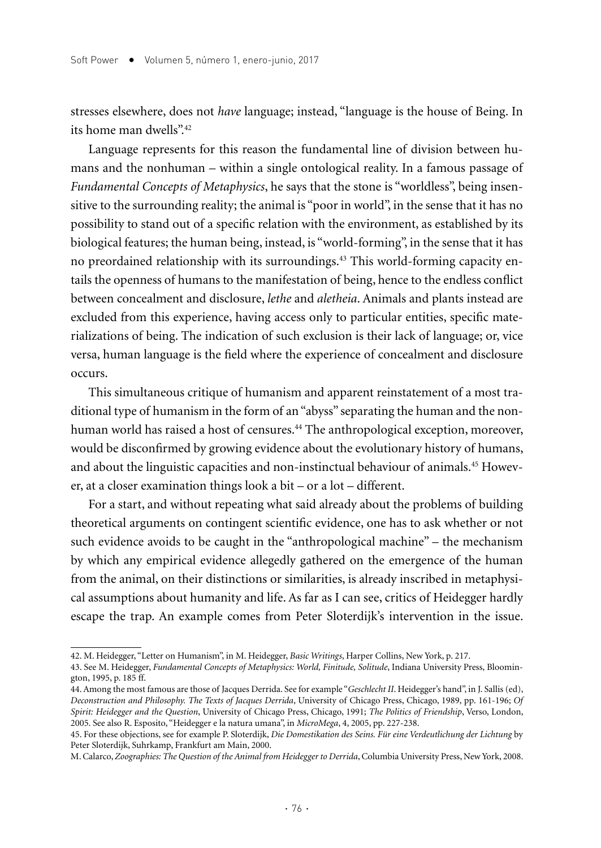stresses elsewhere, does not *have* language; instead, "language is the house of Being. In its home man dwells".42

Language represents for this reason the fundamental line of division between humans and the nonhuman – within a single ontological reality. In a famous passage of *Fundamental Concepts of Metaphysics*, he says that the stone is "worldless", being insensitive to the surrounding reality; the animal is "poor in world", in the sense that it has no possibility to stand out of a specific relation with the environment, as established by its biological features; the human being, instead, is "world-forming", in the sense that it has no preordained relationship with its surroundings.43 This world-forming capacity entails the openness of humans to the manifestation of being, hence to the endless conflict between concealment and disclosure, *lethe* and *aletheia*. Animals and plants instead are excluded from this experience, having access only to particular entities, specific materializations of being. The indication of such exclusion is their lack of language; or, vice versa, human language is the field where the experience of concealment and disclosure occurs.

This simultaneous critique of humanism and apparent reinstatement of a most traditional type of humanism in the form of an "abyss" separating the human and the nonhuman world has raised a host of censures.<sup>44</sup> The anthropological exception, moreover, would be disconfirmed by growing evidence about the evolutionary history of humans, and about the linguistic capacities and non-instinctual behaviour of animals.45 However, at a closer examination things look a bit – or a lot – different.

For a start, and without repeating what said already about the problems of building theoretical arguments on contingent scientific evidence, one has to ask whether or not such evidence avoids to be caught in the "anthropological machine" – the mechanism by which any empirical evidence allegedly gathered on the emergence of the human from the animal, on their distinctions or similarities, is already inscribed in metaphysical assumptions about humanity and life. As far as I can see, critics of Heidegger hardly escape the trap. An example comes from Peter Sloterdijk's intervention in the issue.

<sup>42.</sup> M. Heidegger, "Letter on Humanism", in M. Heidegger, *Basic Writings*, Harper Collins, New York, p. 217.

<sup>43.</sup> See M. Heidegger, *Fundamental Concepts of Metaphysics: World, Finitude, Solitude*, Indiana University Press, Bloomington, 1995, p. 185 ff.

<sup>44.</sup> Among the most famous are those of Jacques Derrida. See for example "*Geschlecht II*. Heidegger's hand", in J. Sallis (ed), *Deconstruction and Philosophy. The Texts of Jacques Derrida*, University of Chicago Press, Chicago, 1989, pp. 161-196; *Of Spirit: Heidegger and the Question*, University of Chicago Press, Chicago, 1991; *The Politics of Friendship*, Verso, London, 2005. See also R. Esposito, "Heidegger e la natura umana", in *MicroMega*, 4, 2005, pp. 227-238.

<sup>45.</sup> For these objections, see for example P. Sloterdijk, *Die Domestikation des Seins. Für eine Verdeutlichung der Lichtung* by Peter Sloterdijk, Suhrkamp, Frankfurt am Main, 2000.

M. Calarco, *Zoographies: The Question of the Animal from Heidegger to Derrida*, Columbia University Press, New York, 2008.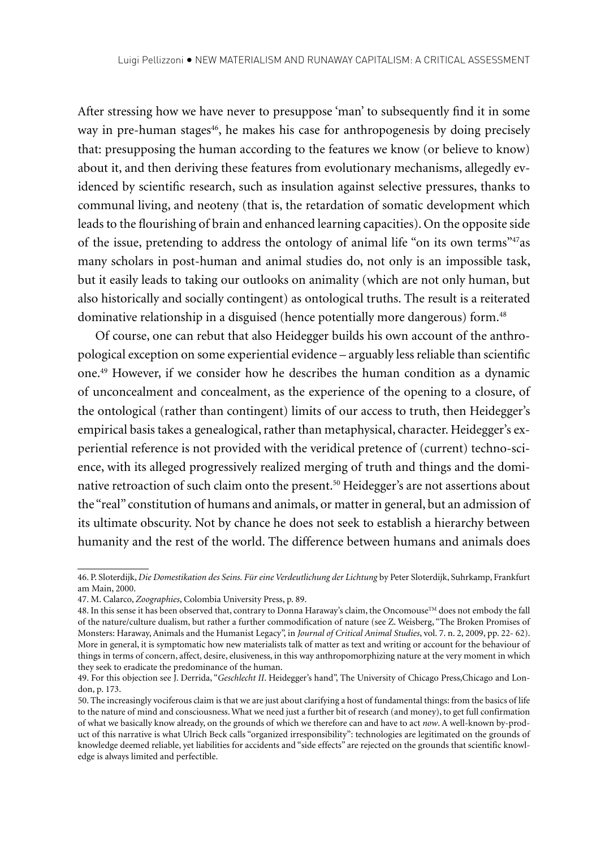After stressing how we have never to presuppose 'man' to subsequently find it in some way in pre-human stages<sup>46</sup>, he makes his case for anthropogenesis by doing precisely that: presupposing the human according to the features we know (or believe to know) about it, and then deriving these features from evolutionary mechanisms, allegedly evidenced by scientific research, such as insulation against selective pressures, thanks to communal living, and neoteny (that is, the retardation of somatic development which leads to the flourishing of brain and enhanced learning capacities). On the opposite side of the issue, pretending to address the ontology of animal life "on its own terms"47as many scholars in post-human and animal studies do, not only is an impossible task, but it easily leads to taking our outlooks on animality (which are not only human, but also historically and socially contingent) as ontological truths. The result is a reiterated dominative relationship in a disguised (hence potentially more dangerous) form.<sup>48</sup>

Of course, one can rebut that also Heidegger builds his own account of the anthropological exception on some experiential evidence – arguably less reliable than scientific one.49 However, if we consider how he describes the human condition as a dynamic of unconcealment and concealment, as the experience of the opening to a closure, of the ontological (rather than contingent) limits of our access to truth, then Heidegger's empirical basis takes a genealogical, rather than metaphysical, character. Heidegger's experiential reference is not provided with the veridical pretence of (current) techno-science, with its alleged progressively realized merging of truth and things and the dominative retroaction of such claim onto the present.<sup>50</sup> Heidegger's are not assertions about the "real" constitution of humans and animals, or matter in general, but an admission of its ultimate obscurity. Not by chance he does not seek to establish a hierarchy between humanity and the rest of the world. The difference between humans and animals does

<sup>46.</sup> P. Sloterdijk, *Die Domestikation des Seins. Für eine Verdeutlichung der Lichtung* by Peter Sloterdijk, Suhrkamp, Frankfurt am Main, 2000.

<sup>47.</sup> M. Calarco, *Zoographies*, Colombia University Press, p. 89.

<sup>48.</sup> In this sense it has been observed that, contrary to Donna Haraway's claim, the Oncomouse™ does not embody the fall of the nature/culture dualism, but rather a further commodification of nature (see Z. Weisberg, "The Broken Promises of Monsters: Haraway, Animals and the Humanist Legacy", in *Journal of Critical Animal Studies*, vol. 7. n. 2, 2009, pp. 22- 62). More in general, it is symptomatic how new materialists talk of matter as text and writing or account for the behaviour of things in terms of concern, affect, desire, elusiveness, in this way anthropomorphizing nature at the very moment in which they seek to eradicate the predominance of the human.

<sup>49.</sup> For this objection see J. Derrida, "*Geschlecht II*. Heidegger's hand", The University of Chicago Press,Chicago and London, p. 173.

<sup>50.</sup> The increasingly vociferous claim is that we are just about clarifying a host of fundamental things: from the basics of life to the nature of mind and consciousness. What we need just a further bit of research (and money), to get full confirmation of what we basically know already, on the grounds of which we therefore can and have to act *now*. A well-known by-product of this narrative is what Ulrich Beck calls "organized irresponsibility": technologies are legitimated on the grounds of knowledge deemed reliable, yet liabilities for accidents and "side effects" are rejected on the grounds that scientific knowledge is always limited and perfectible.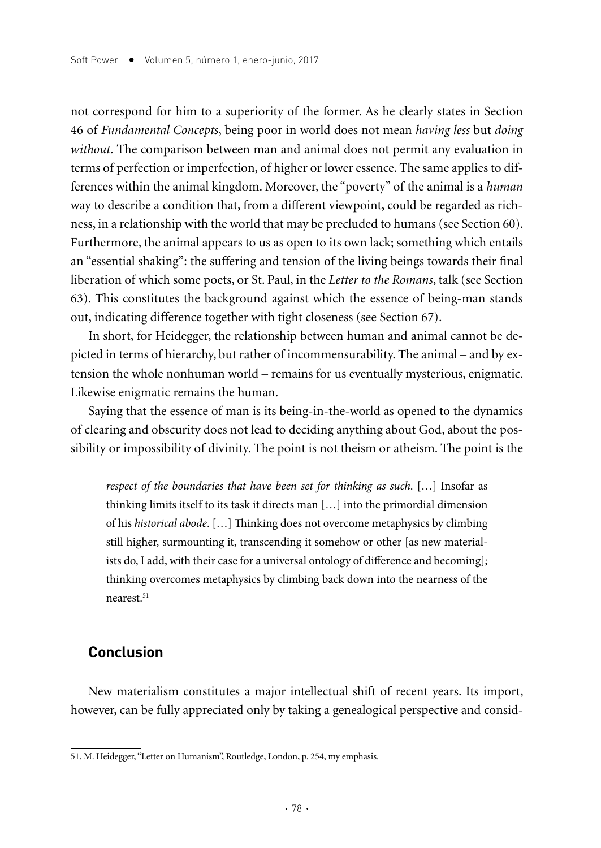not correspond for him to a superiority of the former. As he clearly states in Section 46 of *Fundamental Concepts*, being poor in world does not mean *having less* but *doing without*. The comparison between man and animal does not permit any evaluation in terms of perfection or imperfection, of higher or lower essence. The same applies to differences within the animal kingdom. Moreover, the "poverty" of the animal is a *human* way to describe a condition that, from a different viewpoint, could be regarded as richness, in a relationship with the world that may be precluded to humans (see Section 60). Furthermore, the animal appears to us as open to its own lack; something which entails an "essential shaking": the suffering and tension of the living beings towards their final liberation of which some poets, or St. Paul, in the *Letter to the Romans*, talk (see Section 63). This constitutes the background against which the essence of being-man stands out, indicating difference together with tight closeness (see Section 67).

In short, for Heidegger, the relationship between human and animal cannot be depicted in terms of hierarchy, but rather of incommensurability. The animal – and by extension the whole nonhuman world – remains for us eventually mysterious, enigmatic. Likewise enigmatic remains the human.

Saying that the essence of man is its being-in-the-world as opened to the dynamics of clearing and obscurity does not lead to deciding anything about God, about the possibility or impossibility of divinity. The point is not theism or atheism. The point is the

*respect of the boundaries that have been set for thinking as such*. […] Insofar as thinking limits itself to its task it directs man […] into the primordial dimension of his *historical abode*. […] Thinking does not overcome metaphysics by climbing still higher, surmounting it, transcending it somehow or other [as new materialists do, I add, with their case for a universal ontology of difference and becoming]; thinking overcomes metaphysics by climbing back down into the nearness of the nearest.<sup>51</sup>

## **Conclusion**

New materialism constitutes a major intellectual shift of recent years. Its import, however, can be fully appreciated only by taking a genealogical perspective and consid-

<sup>51.</sup> M. Heidegger, "Letter on Humanism", Routledge, London, p. 254, my emphasis.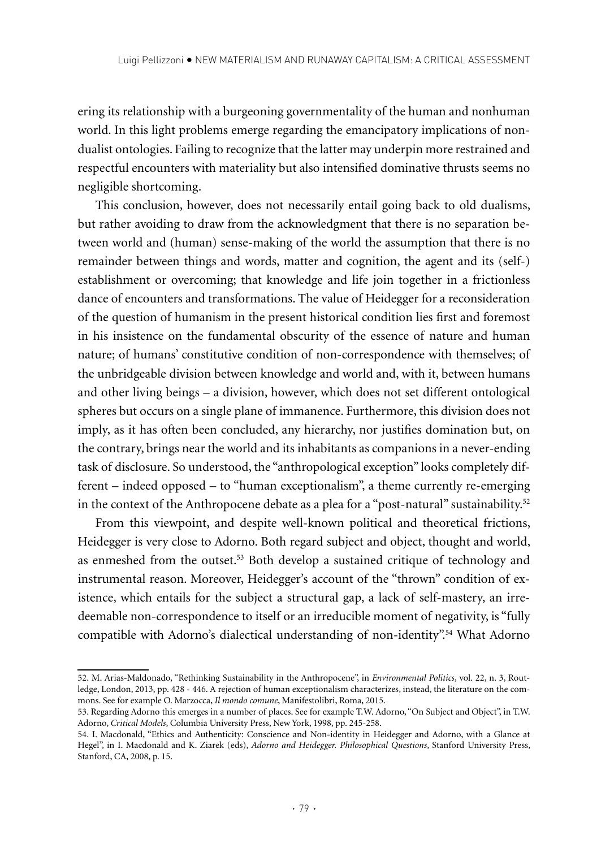ering its relationship with a burgeoning governmentality of the human and nonhuman world. In this light problems emerge regarding the emancipatory implications of nondualist ontologies. Failing to recognize that the latter may underpin more restrained and respectful encounters with materiality but also intensified dominative thrusts seems no negligible shortcoming.

This conclusion, however, does not necessarily entail going back to old dualisms, but rather avoiding to draw from the acknowledgment that there is no separation between world and (human) sense-making of the world the assumption that there is no remainder between things and words, matter and cognition, the agent and its (self-) establishment or overcoming; that knowledge and life join together in a frictionless dance of encounters and transformations. The value of Heidegger for a reconsideration of the question of humanism in the present historical condition lies first and foremost in his insistence on the fundamental obscurity of the essence of nature and human nature; of humans' constitutive condition of non-correspondence with themselves; of the unbridgeable division between knowledge and world and, with it, between humans and other living beings – a division, however, which does not set different ontological spheres but occurs on a single plane of immanence. Furthermore, this division does not imply, as it has often been concluded, any hierarchy, nor justifies domination but, on the contrary, brings near the world and its inhabitants as companions in a never-ending task of disclosure. So understood, the "anthropological exception" looks completely different – indeed opposed – to "human exceptionalism", a theme currently re-emerging in the context of the Anthropocene debate as a plea for a "post-natural" sustainability.<sup>52</sup>

From this viewpoint, and despite well-known political and theoretical frictions, Heidegger is very close to Adorno. Both regard subject and object, thought and world, as enmeshed from the outset.53 Both develop a sustained critique of technology and instrumental reason. Moreover, Heidegger's account of the "thrown" condition of existence, which entails for the subject a structural gap, a lack of self-mastery, an irredeemable non-correspondence to itself or an irreducible moment of negativity, is "fully compatible with Adorno's dialectical understanding of non-identity".<sup>54</sup> What Adorno

<sup>52.</sup> M. Arias-Maldonado, "Rethinking Sustainability in the Anthropocene", in *Environmental Politics*, vol. 22, n. 3, Routledge, London, 2013, pp. 428 - 446. A rejection of human exceptionalism characterizes, instead, the literature on the commons. See for example O. Marzocca, *Il mondo comune*, Manifestolibri, Roma, 2015.

<sup>53.</sup> Regarding Adorno this emerges in a number of places. See for example T.W. Adorno, "On Subject and Object", in T.W. Adorno, *Critical Models*, Columbia University Press, New York, 1998, pp. 245-258.

<sup>54.</sup> I. Macdonald, "Ethics and Authenticity: Conscience and Non-identity in Heidegger and Adorno, with a Glance at Hegel", in I. Macdonald and K. Ziarek (eds), *Adorno and Heidegger. Philosophical Questions*, Stanford University Press, Stanford, CA, 2008, p. 15.